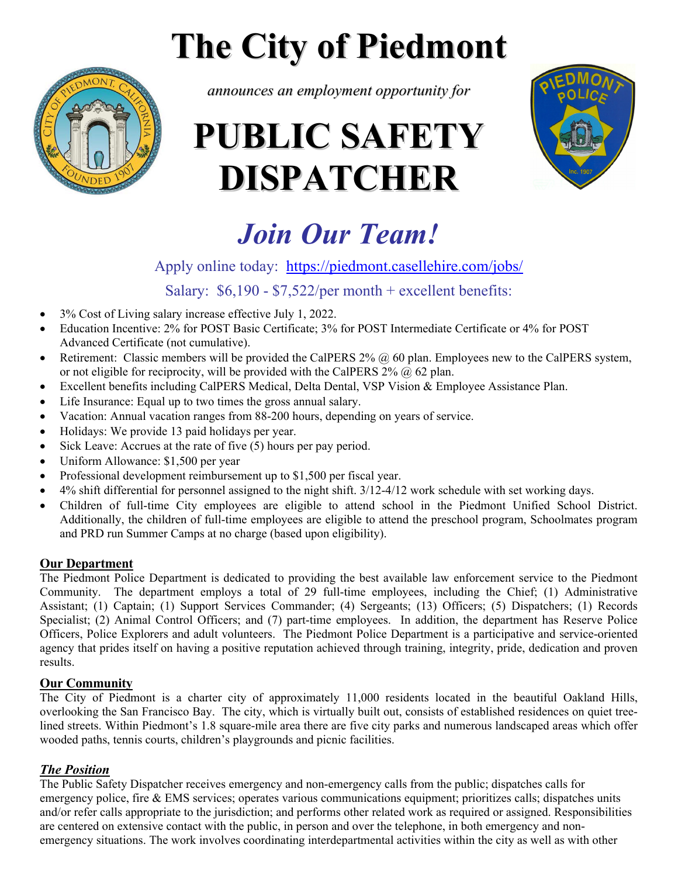# **The City of Piedmont**



*announces an employment opportunity for*

# **PUBLIC SAFETY DISPATCHER**



# *Join Our Team!*

# Apply online today: https://piedmont.casellehire.com/jobs/

Salary: \$6,190 - \$7,522/per month + excellent benefits:

- 3% Cost of Living salary increase effective July 1, 2022.
- Education Incentive: 2% for POST Basic Certificate; 3% for POST Intermediate Certificate or 4% for POST Advanced Certificate (not cumulative).
- Retirement: Classic members will be provided the CalPERS  $2\%$   $\omega$  60 plan. Employees new to the CalPERS system, or not eligible for reciprocity, will be provided with the CalPERS  $2\%$  ( $\alpha$ ) 62 plan.
- Excellent benefits including CalPERS Medical, Delta Dental, VSP Vision & Employee Assistance Plan.
- Life Insurance: Equal up to two times the gross annual salary.
- Vacation: Annual vacation ranges from 88-200 hours, depending on years of service.
- Holidays: We provide 13 paid holidays per year.
- $\bullet$  Sick Leave: Accrues at the rate of five (5) hours per pay period.
- Uniform Allowance: \$1,500 per year
- Professional development reimbursement up to \$1,500 per fiscal year.
- 4% shift differential for personnel assigned to the night shift. 3/12-4/12 work schedule with set working days.
- Children of full-time City employees are eligible to attend school in the Piedmont Unified School District. Additionally, the children of full-time employees are eligible to attend the preschool program, Schoolmates program and PRD run Summer Camps at no charge (based upon eligibility).

### **Our Department**

The Piedmont Police Department is dedicated to providing the best available law enforcement service to the Piedmont Community. The department employs a total of 29 full-time employees, including the Chief; (1) Administrative Assistant; (1) Captain; (1) Support Services Commander; (4) Sergeants; (13) Officers; (5) Dispatchers; (1) Records Specialist; (2) Animal Control Officers; and (7) part-time employees. In addition, the department has Reserve Police Officers, Police Explorers and adult volunteers. The Piedmont Police Department is a participative and service-oriented agency that prides itself on having a positive reputation achieved through training, integrity, pride, dedication and proven results.

### **Our Community**

The City of Piedmont is a charter city of approximately 11,000 residents located in the beautiful Oakland Hills, overlooking the San Francisco Bay. The city, which is virtually built out, consists of established residences on quiet treelined streets. Within Piedmont's 1.8 square-mile area there are five city parks and numerous landscaped areas which offer wooded paths, tennis courts, children's playgrounds and picnic facilities.

## *The Position*

The Public Safety Dispatcher receives emergency and non-emergency calls from the public; dispatches calls for emergency police, fire & EMS services; operates various communications equipment; prioritizes calls; dispatches units and/or refer calls appropriate to the jurisdiction; and performs other related work as required or assigned. Responsibilities are centered on extensive contact with the public, in person and over the telephone, in both emergency and nonemergency situations. The work involves coordinating interdepartmental activities within the city as well as with other